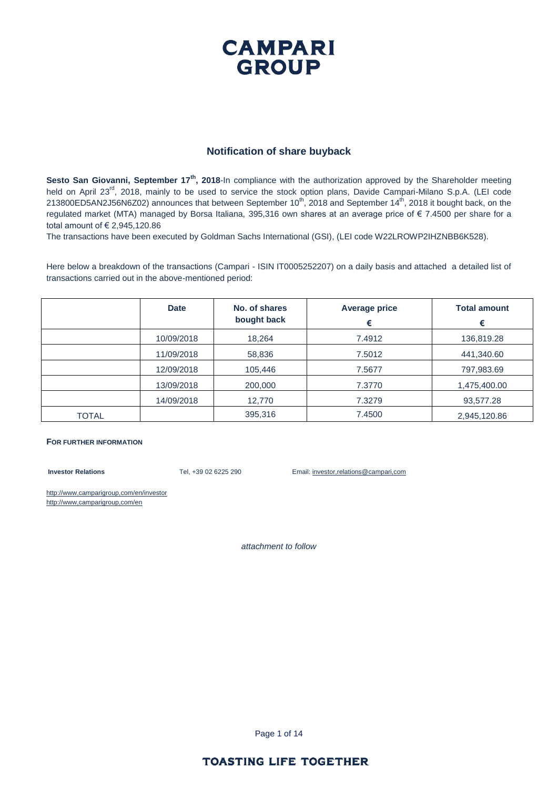#### **CAMPARI GROUP**

#### **Notification of share buyback**

Sesto San Giovanni, September 17<sup>th</sup>, 2018-In compliance with the authorization approved by the Shareholder meeting held on April 23<sup>rd</sup>, 2018, mainly to be used to service the stock option plans, Davide Campari-Milano S.p.A. (LEI code 213800ED5AN2J56N6Z02) announces that between September 10<sup>th</sup>, 2018 and September 14<sup>th</sup>, 2018 it bought back, on the regulated market (MTA) managed by Borsa Italiana, 395,316 own shares at an average price of € 7.4500 per share for a total amount of € 2,945,120.86

The transactions have been executed by Goldman Sachs International (GSI), (LEI code W22LROWP2IHZNBB6K528).

Here below a breakdown of the transactions (Campari - ISIN IT0005252207) on a daily basis and attached a detailed list of transactions carried out in the above-mentioned period:

|       | <b>Date</b> | No. of shares<br>bought back | <b>Average price</b><br>€ | <b>Total amount</b><br>€ |
|-------|-------------|------------------------------|---------------------------|--------------------------|
|       | 10/09/2018  | 18,264                       | 7.4912                    | 136,819.28               |
|       | 11/09/2018  | 58,836                       | 7.5012                    | 441,340.60               |
|       | 12/09/2018  | 105,446                      | 7.5677                    | 797,983.69               |
|       | 13/09/2018  | 200,000                      | 7.3770                    | 1,475,400.00             |
|       | 14/09/2018  | 12,770                       | 7.3279                    | 93,577.28                |
| TOTAL |             | 395,316                      | 7.4500                    | 2,945,120.86             |

#### **FOR FURTHER INFORMATION**

**Investor Relations** Tel, +39 02 6225 290 Email: investor,relations@campari,com

http://www,camparigroup,com/en/investor http://www,camparigroup,com/en

*attachment to follow*

Page 1 of 14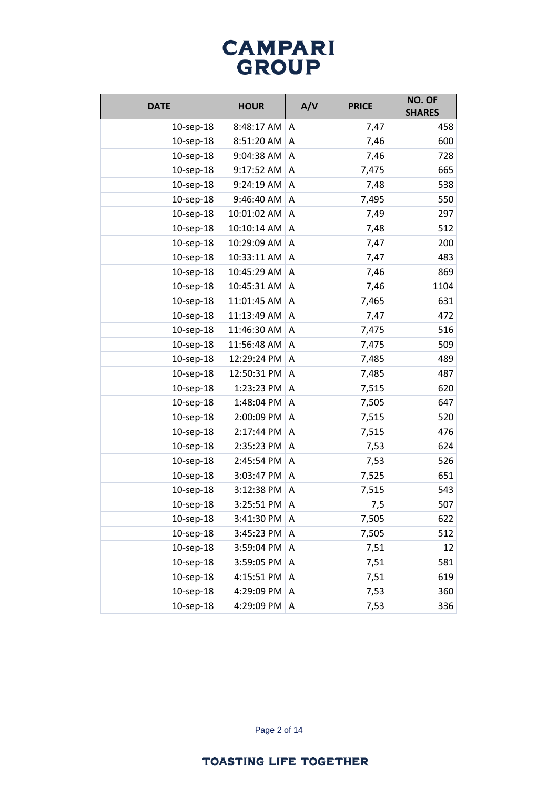| <b>DATE</b>     | <b>HOUR</b> | A/V          | <b>PRICE</b> | NO. OF<br><b>SHARES</b> |
|-----------------|-------------|--------------|--------------|-------------------------|
| 10-sep-18       | 8:48:17 AM  | A            | 7,47         | 458                     |
| 10-sep-18       | 8:51:20 AM  | A            | 7,46         | 600                     |
| $10$ -sep- $18$ | 9:04:38 AM  | Α            | 7,46         | 728                     |
| 10-sep-18       | 9:17:52 AM  | A            | 7,475        | 665                     |
| 10-sep-18       | 9:24:19 AM  | A            | 7,48         | 538                     |
| 10-sep-18       | 9:46:40 AM  | A            | 7,495        | 550                     |
| 10-sep-18       | 10:01:02 AM | A            | 7,49         | 297                     |
| $10$ -sep- $18$ | 10:10:14 AM | A            | 7,48         | 512                     |
| 10-sep-18       | 10:29:09 AM | A            | 7,47         | 200                     |
| 10-sep-18       | 10:33:11 AM | A            | 7,47         | 483                     |
| 10-sep-18       | 10:45:29 AM | A            | 7,46         | 869                     |
| 10-sep-18       | 10:45:31 AM | Α            | 7,46         | 1104                    |
| 10-sep-18       | 11:01:45 AM | A            | 7,465        | 631                     |
| 10-sep-18       | 11:13:49 AM | A            | 7,47         | 472                     |
| 10-sep-18       | 11:46:30 AM | A            | 7,475        | 516                     |
| 10-sep-18       | 11:56:48 AM | A            | 7,475        | 509                     |
| 10-sep-18       | 12:29:24 PM | A            | 7,485        | 489                     |
| 10-sep-18       | 12:50:31 PM | A            | 7,485        | 487                     |
| 10-sep-18       | 1:23:23 PM  | A            | 7,515        | 620                     |
| 10-sep-18       | 1:48:04 PM  | A            | 7,505        | 647                     |
| 10-sep-18       | 2:00:09 PM  | A            | 7,515        | 520                     |
| 10-sep-18       | 2:17:44 PM  | A            | 7,515        | 476                     |
| 10-sep-18       | 2:35:23 PM  | A            | 7,53         | 624                     |
| 10-sep-18       | 2:45:54 PM  | Α            | 7,53         | 526                     |
| 10-sep-18       | 3:03:47 PM  | A            | 7,525        | 651                     |
| 10-sep-18       | 3:12:38 PM  | A            | 7,515        | 543                     |
| 10-sep-18       | 3:25:51 PM  | Α            | 7,5          | 507                     |
| 10-sep-18       | 3:41:30 PM  | Α            | 7,505        | 622                     |
| 10-sep-18       | 3:45:23 PM  | Α            | 7,505        | 512                     |
| 10-sep-18       | 3:59:04 PM  | A            | 7,51         | 12                      |
| 10-sep-18       | 3:59:05 PM  | A            | 7,51         | 581                     |
| 10-sep-18       | 4:15:51 PM  | A            | 7,51         | 619                     |
| 10-sep-18       | 4:29:09 PM  | A            | 7,53         | 360                     |
| 10-sep-18       | 4:29:09 PM  | $\mathsf{A}$ | 7,53         | 336                     |

Page 2 of 14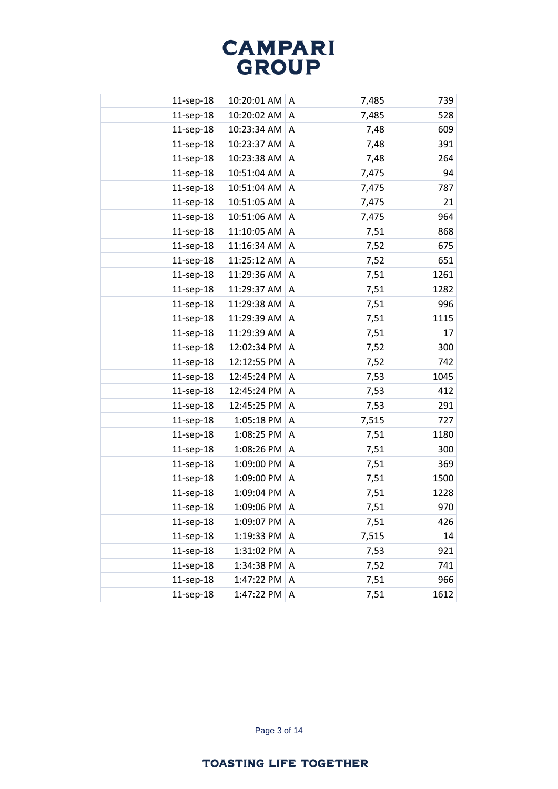| 11-sep-18       | 10:20:01 AM | A | 7,485 | 739  |
|-----------------|-------------|---|-------|------|
| 11-sep-18       | 10:20:02 AM | A | 7,485 | 528  |
| 11-sep-18       | 10:23:34 AM | A | 7,48  | 609  |
| 11-sep-18       | 10:23:37 AM | A | 7,48  | 391  |
| 11-sep-18       | 10:23:38 AM | A | 7,48  | 264  |
| 11-sep-18       | 10:51:04 AM | A | 7,475 | 94   |
| 11-sep-18       | 10:51:04 AM | A | 7,475 | 787  |
| 11-sep-18       | 10:51:05 AM | A | 7,475 | 21   |
| 11-sep-18       | 10:51:06 AM | Α | 7,475 | 964  |
| 11-sep-18       | 11:10:05 AM | A | 7,51  | 868  |
| 11-sep-18       | 11:16:34 AM | A | 7,52  | 675  |
| 11-sep-18       | 11:25:12 AM | A | 7,52  | 651  |
| 11-sep-18       | 11:29:36 AM | A | 7,51  | 1261 |
| 11-sep-18       | 11:29:37 AM | A | 7,51  | 1282 |
| 11-sep-18       | 11:29:38 AM | A | 7,51  | 996  |
| 11-sep-18       | 11:29:39 AM | A | 7,51  | 1115 |
| 11-sep-18       | 11:29:39 AM | A | 7,51  | 17   |
| 11-sep-18       | 12:02:34 PM | A | 7,52  | 300  |
| 11-sep-18       | 12:12:55 PM | A | 7,52  | 742  |
| 11-sep-18       | 12:45:24 PM | A | 7,53  | 1045 |
| 11-sep-18       | 12:45:24 PM | Α | 7,53  | 412  |
| 11-sep-18       | 12:45:25 PM | A | 7,53  | 291  |
| 11-sep-18       | 1:05:18 PM  | A | 7,515 | 727  |
| 11-sep-18       | 1:08:25 PM  | A | 7,51  | 1180 |
| 11-sep-18       | 1:08:26 PM  | A | 7,51  | 300  |
| 11-sep-18       | 1:09:00 PM  | A | 7,51  | 369  |
| 11-sep-18       | 1:09:00 PM  | A | 7,51  | 1500 |
| 11-sep-18       | 1:09:04 PM  | Α | 7,51  | 1228 |
| 11-sep-18       | 1:09:06 PM  | A | 7,51  | 970  |
| 11-sep-18       | 1:09:07 PM  | A | 7,51  | 426  |
| 11-sep-18       | 1:19:33 PM  | A | 7,515 | 14   |
| $11$ -sep- $18$ | 1:31:02 PM  | A | 7,53  | 921  |
| 11-sep-18       | 1:34:38 PM  | A | 7,52  | 741  |
| 11-sep-18       | 1:47:22 PM  | Α | 7,51  | 966  |
| 11-sep-18       | 1:47:22 PM  | Α | 7,51  | 1612 |

Page 3 of 14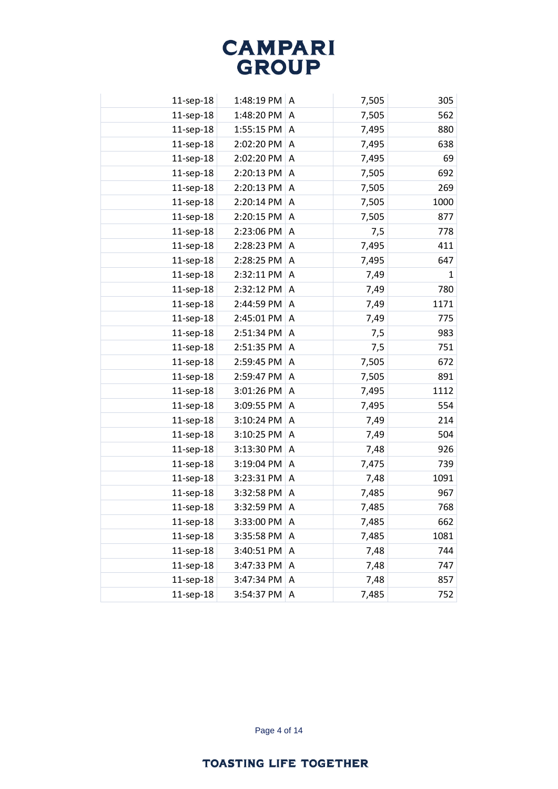| 11-sep-18    | 1:48:19 PM | A            | 7,505 | 305          |
|--------------|------------|--------------|-------|--------------|
| 11-sep-18    | 1:48:20 PM | $\mathsf{A}$ | 7,505 | 562          |
| 11-sep-18    | 1:55:15 PM | A            | 7,495 | 880          |
| 11-sep-18    | 2:02:20 PM | A            | 7,495 | 638          |
| 11-sep-18    | 2:02:20 PM | A            | 7,495 | 69           |
| 11-sep-18    | 2:20:13 PM | A            | 7,505 | 692          |
| 11-sep-18    | 2:20:13 PM | A            | 7,505 | 269          |
| 11-sep-18    | 2:20:14 PM | A            | 7,505 | 1000         |
| 11-sep-18    | 2:20:15 PM | A            | 7,505 | 877          |
| 11-sep-18    | 2:23:06 PM | A            | 7,5   | 778          |
| 11-sep-18    | 2:28:23 PM | A            | 7,495 | 411          |
| 11-sep-18    | 2:28:25 PM | A            | 7,495 | 647          |
| 11-sep-18    | 2:32:11 PM | A            | 7,49  | $\mathbf{1}$ |
| 11-sep-18    | 2:32:12 PM | A            | 7,49  | 780          |
| 11-sep-18    | 2:44:59 PM | A            | 7,49  | 1171         |
| 11-sep-18    | 2:45:01 PM | A            | 7,49  | 775          |
| 11-sep-18    | 2:51:34 PM | A            | 7,5   | 983          |
| 11-sep-18    | 2:51:35 PM | A            | 7,5   | 751          |
| 11-sep-18    | 2:59:45 PM | A            | 7,505 | 672          |
| 11-sep-18    | 2:59:47 PM | A            | 7,505 | 891          |
| 11-sep-18    | 3:01:26 PM | A            | 7,495 | 1112         |
| 11-sep-18    | 3:09:55 PM | A            | 7,495 | 554          |
| 11-sep-18    | 3:10:24 PM | A            | 7,49  | 214          |
| 11-sep-18    | 3:10:25 PM | A            | 7,49  | 504          |
| 11-sep-18    | 3:13:30 PM | A            | 7,48  | 926          |
| 11-sep-18    | 3:19:04 PM | A            | 7,475 | 739          |
| 11-sep-18    | 3:23:31 PM | A            | 7,48  | 1091         |
| 11-sep-18    | 3:32:58 PM | A            | 7,485 | 967          |
| 11-sep-18    | 3:32:59 PM | A            | 7,485 | 768          |
| 11-sep-18    | 3:33:00 PM | Α            | 7,485 | 662          |
| 11-sep-18    | 3:35:58 PM | A            | 7,485 | 1081         |
| $11$ -sep-18 | 3:40:51 PM | A            | 7,48  | 744          |
| 11-sep-18    | 3:47:33 PM | A            | 7,48  | 747          |
| $11$ -sep-18 | 3:47:34 PM | Α            | 7,48  | 857          |
| 11-sep-18    | 3:54:37 PM | Α            | 7,485 | 752          |
|              |            |              |       |              |

Page 4 of 14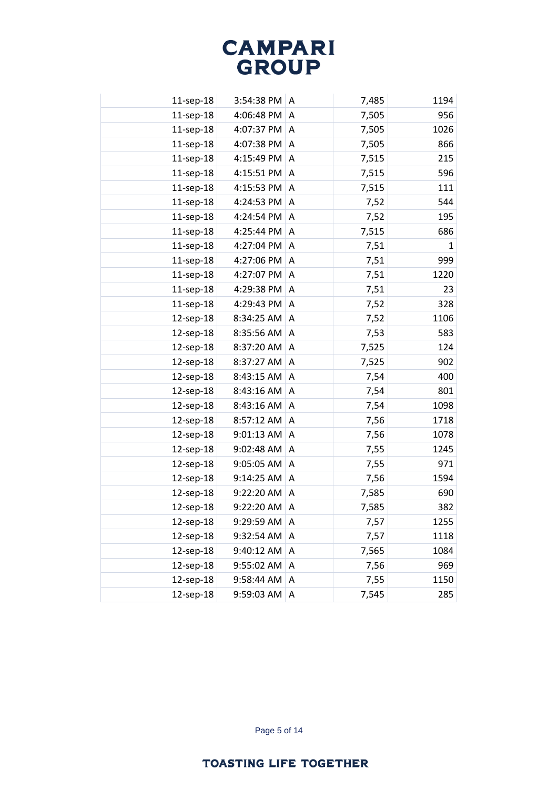| 11-sep-18 | 3:54:38 PM | A | 7,485 | 1194 |
|-----------|------------|---|-------|------|
| 11-sep-18 | 4:06:48 PM | A | 7,505 | 956  |
| 11-sep-18 | 4:07:37 PM | A | 7,505 | 1026 |
| 11-sep-18 | 4:07:38 PM | A | 7,505 | 866  |
| 11-sep-18 | 4:15:49 PM | A | 7,515 | 215  |
| 11-sep-18 | 4:15:51 PM | A | 7,515 | 596  |
| 11-sep-18 | 4:15:53 PM | A | 7,515 | 111  |
| 11-sep-18 | 4:24:53 PM | A | 7,52  | 544  |
| 11-sep-18 | 4:24:54 PM | A | 7,52  | 195  |
| 11-sep-18 | 4:25:44 PM | A | 7,515 | 686  |
| 11-sep-18 | 4:27:04 PM | Α | 7,51  | 1    |
| 11-sep-18 | 4:27:06 PM | A | 7,51  | 999  |
| 11-sep-18 | 4:27:07 PM | A | 7,51  | 1220 |
| 11-sep-18 | 4:29:38 PM | A | 7,51  | 23   |
| 11-sep-18 | 4:29:43 PM | A | 7,52  | 328  |
| 12-sep-18 | 8:34:25 AM | A | 7,52  | 1106 |
| 12-sep-18 | 8:35:56 AM | A | 7,53  | 583  |
| 12-sep-18 | 8:37:20 AM | Α | 7,525 | 124  |
| 12-sep-18 | 8:37:27 AM | A | 7,525 | 902  |
| 12-sep-18 | 8:43:15 AM | A | 7,54  | 400  |
| 12-sep-18 | 8:43:16 AM | A | 7,54  | 801  |
| 12-sep-18 | 8:43:16 AM | A | 7,54  | 1098 |
| 12-sep-18 | 8:57:12 AM | Α | 7,56  | 1718 |
| 12-sep-18 | 9:01:13 AM | A | 7,56  | 1078 |
| 12-sep-18 | 9:02:48 AM | Α | 7,55  | 1245 |
| 12-sep-18 | 9:05:05 AM | A | 7,55  | 971  |
| 12-sep-18 | 9:14:25 AM | A | 7,56  | 1594 |
| 12-sep-18 | 9:22:20 AM | Α | 7,585 | 690  |
| 12-sep-18 | 9:22:20 AM | Α | 7,585 | 382  |
| 12-sep-18 | 9:29:59 AM | Α | 7,57  | 1255 |
| 12-sep-18 | 9:32:54 AM | A | 7,57  | 1118 |
| 12-sep-18 | 9:40:12 AM | Α | 7,565 | 1084 |
| 12-sep-18 | 9:55:02 AM | Α | 7,56  | 969  |
| 12-sep-18 | 9:58:44 AM | Α | 7,55  | 1150 |
| 12-sep-18 | 9:59:03 AM | Α | 7,545 | 285  |
|           |            |   |       |      |

Page 5 of 14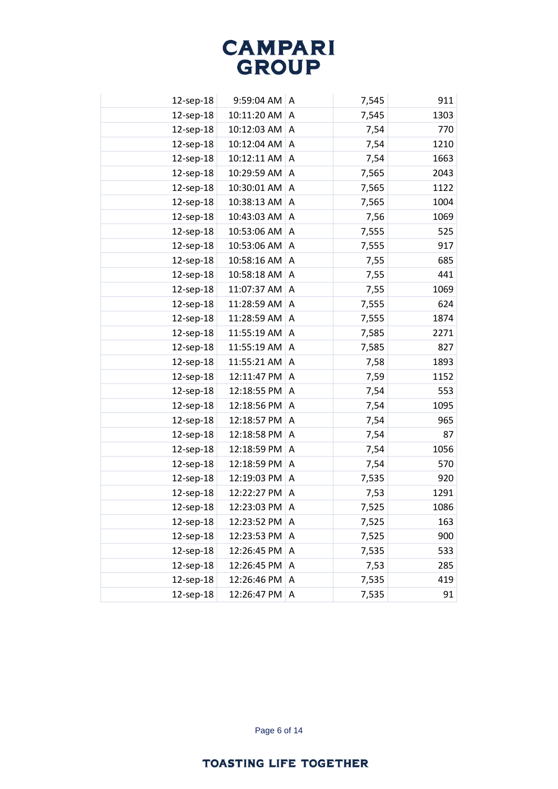| 12-sep-18 | 9:59:04 AM  | A | 7,545 | 911  |
|-----------|-------------|---|-------|------|
| 12-sep-18 | 10:11:20 AM | A | 7,545 | 1303 |
| 12-sep-18 | 10:12:03 AM | A | 7,54  | 770  |
| 12-sep-18 | 10:12:04 AM | A | 7,54  | 1210 |
| 12-sep-18 | 10:12:11 AM | A | 7,54  | 1663 |
| 12-sep-18 | 10:29:59 AM | Α | 7,565 | 2043 |
| 12-sep-18 | 10:30:01 AM | A | 7,565 | 1122 |
| 12-sep-18 | 10:38:13 AM | A | 7,565 | 1004 |
| 12-sep-18 | 10:43:03 AM | Α | 7,56  | 1069 |
| 12-sep-18 | 10:53:06 AM | A | 7,555 | 525  |
| 12-sep-18 | 10:53:06 AM | A | 7,555 | 917  |
| 12-sep-18 | 10:58:16 AM | A | 7,55  | 685  |
| 12-sep-18 | 10:58:18 AM | A | 7,55  | 441  |
| 12-sep-18 | 11:07:37 AM | A | 7,55  | 1069 |
| 12-sep-18 | 11:28:59 AM | A | 7,555 | 624  |
| 12-sep-18 | 11:28:59 AM | Α | 7,555 | 1874 |
| 12-sep-18 | 11:55:19 AM | A | 7,585 | 2271 |
| 12-sep-18 | 11:55:19 AM | Α | 7,585 | 827  |
| 12-sep-18 | 11:55:21 AM | A | 7,58  | 1893 |
| 12-sep-18 | 12:11:47 PM | A | 7,59  | 1152 |
| 12-sep-18 | 12:18:55 PM | Α | 7,54  | 553  |
| 12-sep-18 | 12:18:56 PM | A | 7,54  | 1095 |
| 12-sep-18 | 12:18:57 PM | A | 7,54  | 965  |
| 12-sep-18 | 12:18:58 PM | A | 7,54  | 87   |
| 12-sep-18 | 12:18:59 PM | A | 7,54  | 1056 |
| 12-sep-18 | 12:18:59 PM | A | 7,54  | 570  |
| 12-sep-18 | 12:19:03 PM | A | 7,535 | 920  |
| 12-sep-18 | 12:22:27 PM | A | 7,53  | 1291 |
| 12-sep-18 | 12:23:03 PM | Α | 7,525 | 1086 |
| 12-sep-18 | 12:23:52 PM | Α | 7,525 | 163  |
| 12-sep-18 | 12:23:53 PM | A | 7,525 | 900  |
| 12-sep-18 | 12:26:45 PM | A | 7,535 | 533  |
| 12-sep-18 | 12:26:45 PM | A | 7,53  | 285  |
| 12-sep-18 | 12:26:46 PM | A | 7,535 | 419  |
| 12-sep-18 | 12:26:47 PM | Α | 7,535 | 91   |
|           |             |   |       |      |

Page 6 of 14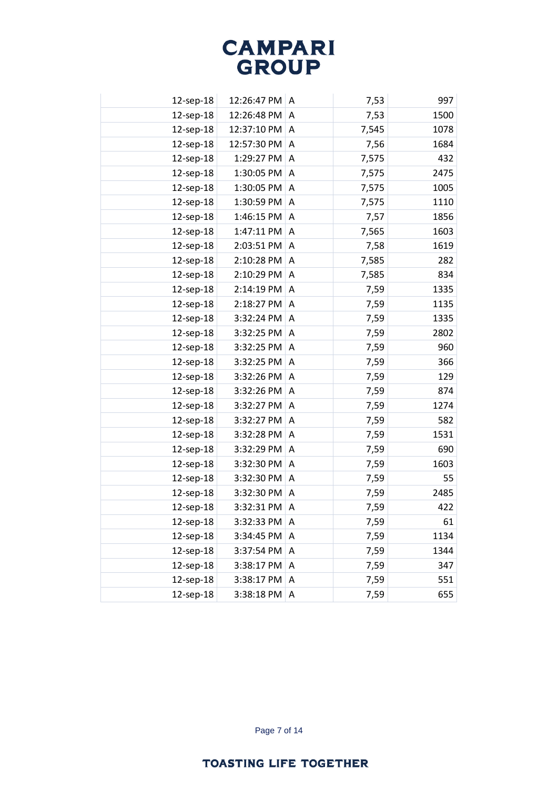| 12-sep-18 | 12:26:47 PM | A | 7,53  | 997  |
|-----------|-------------|---|-------|------|
| 12-sep-18 | 12:26:48 PM | A | 7,53  | 1500 |
| 12-sep-18 | 12:37:10 PM | A | 7,545 | 1078 |
| 12-sep-18 | 12:57:30 PM | A | 7,56  | 1684 |
| 12-sep-18 | 1:29:27 PM  | A | 7,575 | 432  |
| 12-sep-18 | 1:30:05 PM  | A | 7,575 | 2475 |
| 12-sep-18 | 1:30:05 PM  | A | 7,575 | 1005 |
| 12-sep-18 | 1:30:59 PM  | A | 7,575 | 1110 |
| 12-sep-18 | 1:46:15 PM  | A | 7,57  | 1856 |
| 12-sep-18 | 1:47:11 PM  | A | 7,565 | 1603 |
| 12-sep-18 | 2:03:51 PM  | A | 7,58  | 1619 |
| 12-sep-18 | 2:10:28 PM  | A | 7,585 | 282  |
| 12-sep-18 | 2:10:29 PM  | A | 7,585 | 834  |
| 12-sep-18 | 2:14:19 PM  | A | 7,59  | 1335 |
| 12-sep-18 | 2:18:27 PM  | A | 7,59  | 1135 |
| 12-sep-18 | 3:32:24 PM  | A | 7,59  | 1335 |
| 12-sep-18 | 3:32:25 PM  | A | 7,59  | 2802 |
| 12-sep-18 | 3:32:25 PM  | A | 7,59  | 960  |
| 12-sep-18 | 3:32:25 PM  | A | 7,59  | 366  |
| 12-sep-18 | 3:32:26 PM  | A | 7,59  | 129  |
| 12-sep-18 | 3:32:26 PM  | Α | 7,59  | 874  |
| 12-sep-18 | 3:32:27 PM  | A | 7,59  | 1274 |
| 12-sep-18 | 3:32:27 PM  | A | 7,59  | 582  |
| 12-sep-18 | 3:32:28 PM  | A | 7,59  | 1531 |
| 12-sep-18 | 3:32:29 PM  | A | 7,59  | 690  |
| 12-sep-18 | 3:32:30 PM  | A | 7,59  | 1603 |
| 12-sep-18 | 3:32:30 PM  | A | 7,59  | 55   |
| 12-sep-18 | 3:32:30 PM  | Α | 7,59  | 2485 |
| 12-sep-18 | 3:32:31 PM  | A | 7,59  | 422  |
| 12-sep-18 | 3:32:33 PM  | Α | 7,59  | 61   |
| 12-sep-18 | 3:34:45 PM  | A | 7,59  | 1134 |
| 12-sep-18 | 3:37:54 PM  | Α | 7,59  | 1344 |
| 12-sep-18 | 3:38:17 PM  | Α | 7,59  | 347  |
| 12-sep-18 | 3:38:17 PM  | Α | 7,59  | 551  |
| 12-sep-18 | 3:38:18 PM  | Α | 7,59  | 655  |
|           |             |   |       |      |

Page 7 of 14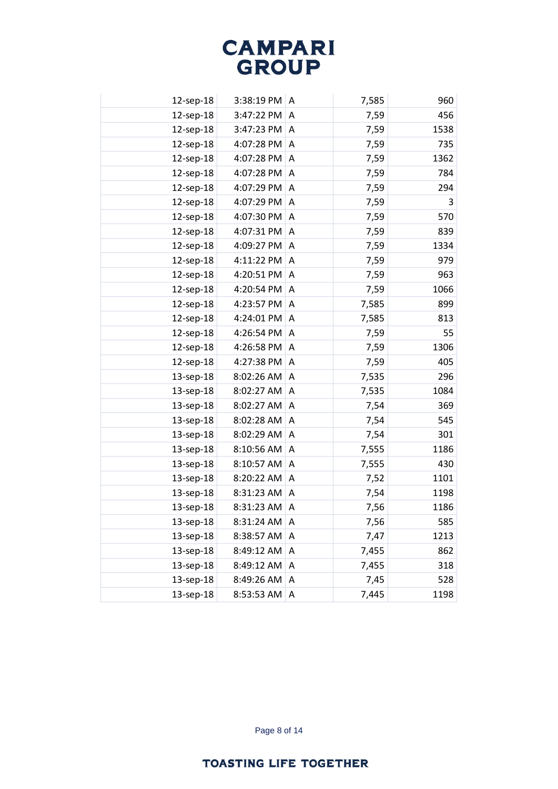| 3:38:19 PM<br>7,585<br>960<br>12-sep-18<br>A<br>3:47:22 PM<br>7,59<br>12-sep-18<br>A<br>3:47:23 PM<br>1538<br>12-sep-18<br>7,59<br>A<br>12-sep-18<br>4:07:28 PM<br>7,59<br>735<br>A<br>12-sep-18<br>4:07:28 PM<br>1362<br>7,59<br>A<br>4:07:28 PM<br>12-sep-18<br>7,59<br>784<br>A<br>4:07:29 PM<br>12-sep-18<br>A<br>7,59<br>294<br>3<br>12-sep-18<br>4:07:29 PM<br>7,59<br>A<br>12-sep-18<br>4:07:30 PM<br>570<br>7,59<br>A<br>4:07:31 PM<br>12-sep-18<br>7,59<br>839<br>A<br>4:09:27 PM<br>12-sep-18<br>7,59<br>1334<br>Α<br>979<br>12-sep-18<br>4:11:22 PM<br>7,59<br>A<br>4:20:51 PM<br>963<br>12-sep-18<br>7,59<br>A<br>4:20:54 PM<br>1066<br>12-sep-18<br>7,59<br>A<br>899<br>12-sep-18<br>4:23:57 PM<br>7,585<br>A<br>12-sep-18<br>4:24:01 PM<br>7,585<br>813<br>A<br>55<br>12-sep-18<br>4:26:54 PM<br>7,59<br>A<br>1306<br>12-sep-18<br>4:26:58 PM<br>7,59<br>A<br>12-sep-18<br>4:27:38 PM<br>405<br>7,59<br>A<br>296<br>8:02:26 AM<br>7,535<br>13-sep-18<br>A<br>13-sep-18<br>8:02:27 AM<br>7,535<br>1084<br>A<br>8:02:27 AM<br>7,54<br>369<br>13-sep-18<br>A<br>13-sep-18<br>8:02:28 AM<br>7,54<br>545<br>A<br>8:02:29 AM<br>7,54<br>301<br>13-sep-18<br>A<br>13-sep-18<br>8:10:56 AM<br>1186<br>7,555<br>Α<br>13-sep-18<br>8:10:57 AM<br>7,555<br>430<br>A<br>8:20:22 AM<br>1101<br>13-sep-18<br>7,52<br>A<br>8:31:23 AM<br>13-sep-18<br>7,54<br>Α<br>13-sep-18<br>8:31:23 AM<br>7,56<br>Α<br>13-sep-18<br>7,56<br>585<br>8:31:24 AM<br>Α<br>13-sep-18<br>8:38:57 AM<br>7,47<br>1213<br>Α<br>13-sep-18<br>8:49:12 AM<br>862<br>Α<br>7,455<br>13-sep-18<br>7,455<br>8:49:12 AM<br>318<br>Α<br>13-sep-18<br>8:49:26 AM<br>7,45<br>528<br>Α<br>13-sep-18<br>8:53:53 AM<br>7,445<br>Α |  |  |      |
|-----------------------------------------------------------------------------------------------------------------------------------------------------------------------------------------------------------------------------------------------------------------------------------------------------------------------------------------------------------------------------------------------------------------------------------------------------------------------------------------------------------------------------------------------------------------------------------------------------------------------------------------------------------------------------------------------------------------------------------------------------------------------------------------------------------------------------------------------------------------------------------------------------------------------------------------------------------------------------------------------------------------------------------------------------------------------------------------------------------------------------------------------------------------------------------------------------------------------------------------------------------------------------------------------------------------------------------------------------------------------------------------------------------------------------------------------------------------------------------------------------------------------------------------------------------------------------------------------------------------------------------------------------------------------------------------------|--|--|------|
|                                                                                                                                                                                                                                                                                                                                                                                                                                                                                                                                                                                                                                                                                                                                                                                                                                                                                                                                                                                                                                                                                                                                                                                                                                                                                                                                                                                                                                                                                                                                                                                                                                                                                               |  |  |      |
|                                                                                                                                                                                                                                                                                                                                                                                                                                                                                                                                                                                                                                                                                                                                                                                                                                                                                                                                                                                                                                                                                                                                                                                                                                                                                                                                                                                                                                                                                                                                                                                                                                                                                               |  |  | 456  |
|                                                                                                                                                                                                                                                                                                                                                                                                                                                                                                                                                                                                                                                                                                                                                                                                                                                                                                                                                                                                                                                                                                                                                                                                                                                                                                                                                                                                                                                                                                                                                                                                                                                                                               |  |  |      |
|                                                                                                                                                                                                                                                                                                                                                                                                                                                                                                                                                                                                                                                                                                                                                                                                                                                                                                                                                                                                                                                                                                                                                                                                                                                                                                                                                                                                                                                                                                                                                                                                                                                                                               |  |  |      |
|                                                                                                                                                                                                                                                                                                                                                                                                                                                                                                                                                                                                                                                                                                                                                                                                                                                                                                                                                                                                                                                                                                                                                                                                                                                                                                                                                                                                                                                                                                                                                                                                                                                                                               |  |  |      |
|                                                                                                                                                                                                                                                                                                                                                                                                                                                                                                                                                                                                                                                                                                                                                                                                                                                                                                                                                                                                                                                                                                                                                                                                                                                                                                                                                                                                                                                                                                                                                                                                                                                                                               |  |  |      |
|                                                                                                                                                                                                                                                                                                                                                                                                                                                                                                                                                                                                                                                                                                                                                                                                                                                                                                                                                                                                                                                                                                                                                                                                                                                                                                                                                                                                                                                                                                                                                                                                                                                                                               |  |  |      |
|                                                                                                                                                                                                                                                                                                                                                                                                                                                                                                                                                                                                                                                                                                                                                                                                                                                                                                                                                                                                                                                                                                                                                                                                                                                                                                                                                                                                                                                                                                                                                                                                                                                                                               |  |  |      |
|                                                                                                                                                                                                                                                                                                                                                                                                                                                                                                                                                                                                                                                                                                                                                                                                                                                                                                                                                                                                                                                                                                                                                                                                                                                                                                                                                                                                                                                                                                                                                                                                                                                                                               |  |  |      |
|                                                                                                                                                                                                                                                                                                                                                                                                                                                                                                                                                                                                                                                                                                                                                                                                                                                                                                                                                                                                                                                                                                                                                                                                                                                                                                                                                                                                                                                                                                                                                                                                                                                                                               |  |  |      |
|                                                                                                                                                                                                                                                                                                                                                                                                                                                                                                                                                                                                                                                                                                                                                                                                                                                                                                                                                                                                                                                                                                                                                                                                                                                                                                                                                                                                                                                                                                                                                                                                                                                                                               |  |  |      |
|                                                                                                                                                                                                                                                                                                                                                                                                                                                                                                                                                                                                                                                                                                                                                                                                                                                                                                                                                                                                                                                                                                                                                                                                                                                                                                                                                                                                                                                                                                                                                                                                                                                                                               |  |  |      |
|                                                                                                                                                                                                                                                                                                                                                                                                                                                                                                                                                                                                                                                                                                                                                                                                                                                                                                                                                                                                                                                                                                                                                                                                                                                                                                                                                                                                                                                                                                                                                                                                                                                                                               |  |  |      |
|                                                                                                                                                                                                                                                                                                                                                                                                                                                                                                                                                                                                                                                                                                                                                                                                                                                                                                                                                                                                                                                                                                                                                                                                                                                                                                                                                                                                                                                                                                                                                                                                                                                                                               |  |  |      |
|                                                                                                                                                                                                                                                                                                                                                                                                                                                                                                                                                                                                                                                                                                                                                                                                                                                                                                                                                                                                                                                                                                                                                                                                                                                                                                                                                                                                                                                                                                                                                                                                                                                                                               |  |  |      |
|                                                                                                                                                                                                                                                                                                                                                                                                                                                                                                                                                                                                                                                                                                                                                                                                                                                                                                                                                                                                                                                                                                                                                                                                                                                                                                                                                                                                                                                                                                                                                                                                                                                                                               |  |  |      |
|                                                                                                                                                                                                                                                                                                                                                                                                                                                                                                                                                                                                                                                                                                                                                                                                                                                                                                                                                                                                                                                                                                                                                                                                                                                                                                                                                                                                                                                                                                                                                                                                                                                                                               |  |  |      |
|                                                                                                                                                                                                                                                                                                                                                                                                                                                                                                                                                                                                                                                                                                                                                                                                                                                                                                                                                                                                                                                                                                                                                                                                                                                                                                                                                                                                                                                                                                                                                                                                                                                                                               |  |  |      |
|                                                                                                                                                                                                                                                                                                                                                                                                                                                                                                                                                                                                                                                                                                                                                                                                                                                                                                                                                                                                                                                                                                                                                                                                                                                                                                                                                                                                                                                                                                                                                                                                                                                                                               |  |  |      |
|                                                                                                                                                                                                                                                                                                                                                                                                                                                                                                                                                                                                                                                                                                                                                                                                                                                                                                                                                                                                                                                                                                                                                                                                                                                                                                                                                                                                                                                                                                                                                                                                                                                                                               |  |  |      |
|                                                                                                                                                                                                                                                                                                                                                                                                                                                                                                                                                                                                                                                                                                                                                                                                                                                                                                                                                                                                                                                                                                                                                                                                                                                                                                                                                                                                                                                                                                                                                                                                                                                                                               |  |  |      |
|                                                                                                                                                                                                                                                                                                                                                                                                                                                                                                                                                                                                                                                                                                                                                                                                                                                                                                                                                                                                                                                                                                                                                                                                                                                                                                                                                                                                                                                                                                                                                                                                                                                                                               |  |  |      |
|                                                                                                                                                                                                                                                                                                                                                                                                                                                                                                                                                                                                                                                                                                                                                                                                                                                                                                                                                                                                                                                                                                                                                                                                                                                                                                                                                                                                                                                                                                                                                                                                                                                                                               |  |  |      |
|                                                                                                                                                                                                                                                                                                                                                                                                                                                                                                                                                                                                                                                                                                                                                                                                                                                                                                                                                                                                                                                                                                                                                                                                                                                                                                                                                                                                                                                                                                                                                                                                                                                                                               |  |  |      |
|                                                                                                                                                                                                                                                                                                                                                                                                                                                                                                                                                                                                                                                                                                                                                                                                                                                                                                                                                                                                                                                                                                                                                                                                                                                                                                                                                                                                                                                                                                                                                                                                                                                                                               |  |  |      |
|                                                                                                                                                                                                                                                                                                                                                                                                                                                                                                                                                                                                                                                                                                                                                                                                                                                                                                                                                                                                                                                                                                                                                                                                                                                                                                                                                                                                                                                                                                                                                                                                                                                                                               |  |  |      |
|                                                                                                                                                                                                                                                                                                                                                                                                                                                                                                                                                                                                                                                                                                                                                                                                                                                                                                                                                                                                                                                                                                                                                                                                                                                                                                                                                                                                                                                                                                                                                                                                                                                                                               |  |  |      |
|                                                                                                                                                                                                                                                                                                                                                                                                                                                                                                                                                                                                                                                                                                                                                                                                                                                                                                                                                                                                                                                                                                                                                                                                                                                                                                                                                                                                                                                                                                                                                                                                                                                                                               |  |  | 1198 |
|                                                                                                                                                                                                                                                                                                                                                                                                                                                                                                                                                                                                                                                                                                                                                                                                                                                                                                                                                                                                                                                                                                                                                                                                                                                                                                                                                                                                                                                                                                                                                                                                                                                                                               |  |  | 1186 |
|                                                                                                                                                                                                                                                                                                                                                                                                                                                                                                                                                                                                                                                                                                                                                                                                                                                                                                                                                                                                                                                                                                                                                                                                                                                                                                                                                                                                                                                                                                                                                                                                                                                                                               |  |  |      |
|                                                                                                                                                                                                                                                                                                                                                                                                                                                                                                                                                                                                                                                                                                                                                                                                                                                                                                                                                                                                                                                                                                                                                                                                                                                                                                                                                                                                                                                                                                                                                                                                                                                                                               |  |  |      |
|                                                                                                                                                                                                                                                                                                                                                                                                                                                                                                                                                                                                                                                                                                                                                                                                                                                                                                                                                                                                                                                                                                                                                                                                                                                                                                                                                                                                                                                                                                                                                                                                                                                                                               |  |  |      |
|                                                                                                                                                                                                                                                                                                                                                                                                                                                                                                                                                                                                                                                                                                                                                                                                                                                                                                                                                                                                                                                                                                                                                                                                                                                                                                                                                                                                                                                                                                                                                                                                                                                                                               |  |  |      |
|                                                                                                                                                                                                                                                                                                                                                                                                                                                                                                                                                                                                                                                                                                                                                                                                                                                                                                                                                                                                                                                                                                                                                                                                                                                                                                                                                                                                                                                                                                                                                                                                                                                                                               |  |  |      |
|                                                                                                                                                                                                                                                                                                                                                                                                                                                                                                                                                                                                                                                                                                                                                                                                                                                                                                                                                                                                                                                                                                                                                                                                                                                                                                                                                                                                                                                                                                                                                                                                                                                                                               |  |  | 1198 |

Page 8 of 14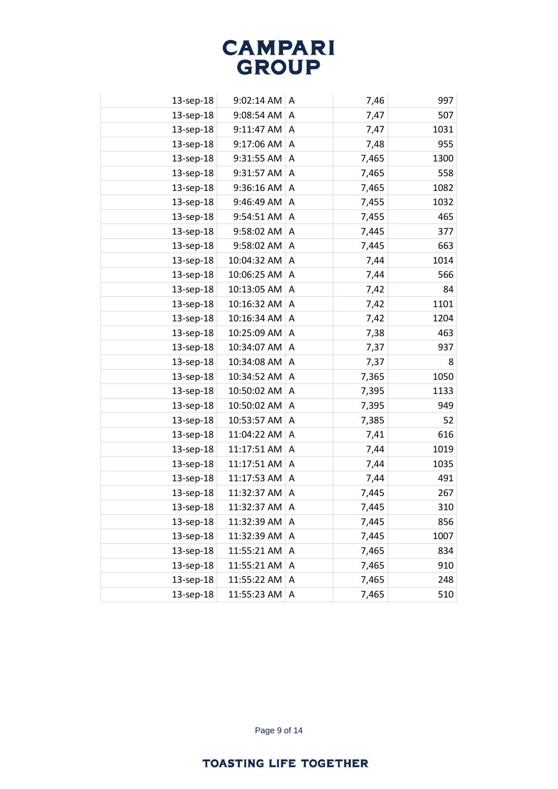| 13-sep-18 | 9:02:14 AM  | A              | 7,46  | 997  |
|-----------|-------------|----------------|-------|------|
| 13-sep-18 | 9:08:54 AM  | A              | 7,47  | 507  |
| 13-sep-18 | 9:11:47 AM  | A              | 7,47  | 1031 |
| 13-sep-18 | 9:17:06 AM  | A              | 7,48  | 955  |
| 13-sep-18 | 9:31:55 AM  | A              | 7,465 | 1300 |
| 13-sep-18 | 9:31:57 AM  | A              | 7,465 | 558  |
| 13-sep-18 | 9:36:16 AM  | A              | 7,465 | 1082 |
| 13-sep-18 | 9:46:49 AM  | A              | 7,455 | 1032 |
| 13-sep-18 | 9:54:51 AM  | A              | 7,455 | 465  |
| 13-sep-18 | 9:58:02 AM  | A              | 7,445 | 377  |
| 13-sep-18 | 9:58:02 AM  | A              | 7,445 | 663  |
| 13-sep-18 | 10:04:32 AM | A              | 7,44  | 1014 |
| 13-sep-18 | 10:06:25 AM | $\overline{A}$ | 7,44  | 566  |
| 13-sep-18 | 10:13:05 AM | A              | 7,42  | 84   |
| 13-sep-18 | 10:16:32 AM | A              | 7,42  | 1101 |
| 13-sep-18 | 10:16:34 AM | A              | 7,42  | 1204 |
| 13-sep-18 | 10:25:09 AM | A              | 7,38  | 463  |
| 13-sep-18 | 10:34:07 AM | A              | 7,37  | 937  |
| 13-sep-18 | 10:34:08 AM | A              | 7,37  | 8    |
| 13-sep-18 | 10:34:52 AM | A              | 7,365 | 1050 |
| 13-sep-18 | 10:50:02 AM | A              | 7,395 | 1133 |
| 13-sep-18 | 10:50:02 AM | A              | 7,395 | 949  |
| 13-sep-18 | 10:53:57 AM | A              | 7,385 | 52   |
| 13-sep-18 | 11:04:22 AM | A              | 7,41  | 616  |
| 13-sep-18 | 11:17:51 AM | A              | 7,44  | 1019 |
| 13-sep-18 | 11:17:51 AM | A              | 7,44  | 1035 |
| 13-sep-18 | 11:17:53 AM | A              | 7,44  | 491  |
| 13-sep-18 | 11:32:37 AM | A              | 7,445 | 267  |
| 13-sep-18 | 11:32:37 AM | A              | 7,445 | 310  |
| 13-sep-18 | 11:32:39 AM | A              | 7,445 | 856  |
| 13-sep-18 | 11:32:39 AM | A              | 7,445 | 1007 |
| 13-sep-18 | 11:55:21 AM | A              | 7,465 | 834  |
| 13-sep-18 | 11:55:21 AM | Α              | 7,465 | 910  |
| 13-sep-18 | 11:55:22 AM | Α              | 7,465 | 248  |
| 13-sep-18 | 11:55:23 AM | Α              | 7,465 | 510  |

Page 9 of 14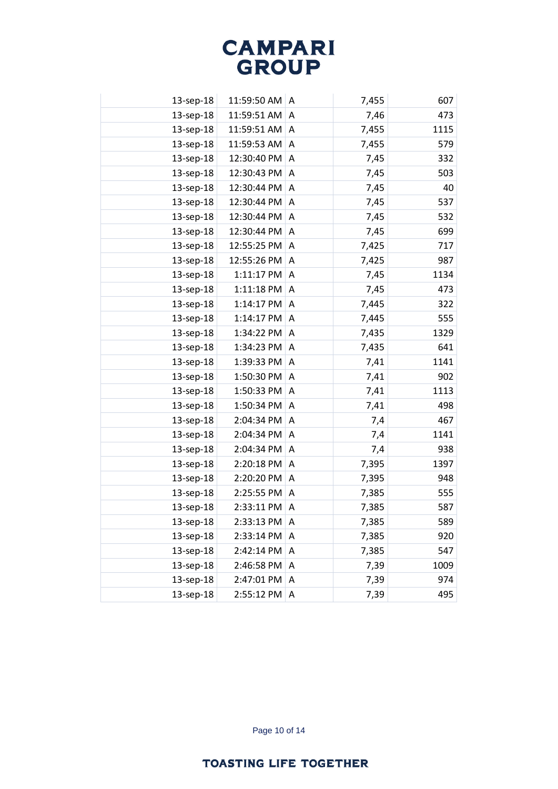| 13-sep-18 | 11:59:50 AM | A              | 7,455 | 607  |
|-----------|-------------|----------------|-------|------|
| 13-sep-18 | 11:59:51 AM | A              | 7,46  | 473  |
| 13-sep-18 | 11:59:51 AM | A              | 7,455 | 1115 |
| 13-sep-18 | 11:59:53 AM | A              | 7,455 | 579  |
| 13-sep-18 | 12:30:40 PM | A              | 7,45  | 332  |
| 13-sep-18 | 12:30:43 PM | A              | 7,45  | 503  |
| 13-sep-18 | 12:30:44 PM | A              | 7,45  | 40   |
| 13-sep-18 | 12:30:44 PM | A              | 7,45  | 537  |
| 13-sep-18 | 12:30:44 PM | A              | 7,45  | 532  |
| 13-sep-18 | 12:30:44 PM | A              | 7,45  | 699  |
| 13-sep-18 | 12:55:25 PM | A              | 7,425 | 717  |
| 13-sep-18 | 12:55:26 PM | A              | 7,425 | 987  |
| 13-sep-18 | 1:11:17 PM  | $\overline{A}$ | 7,45  | 1134 |
| 13-sep-18 | 1:11:18 PM  | A              | 7,45  | 473  |
| 13-sep-18 | 1:14:17 PM  | A              | 7,445 | 322  |
| 13-sep-18 | 1:14:17 PM  | A              | 7,445 | 555  |
| 13-sep-18 | 1:34:22 PM  | A              | 7,435 | 1329 |
| 13-sep-18 | 1:34:23 PM  | $\overline{A}$ | 7,435 | 641  |
| 13-sep-18 | 1:39:33 PM  | A              | 7,41  | 1141 |
| 13-sep-18 | 1:50:30 PM  | A              | 7,41  | 902  |
| 13-sep-18 | 1:50:33 PM  | A              | 7,41  | 1113 |
| 13-sep-18 | 1:50:34 PM  | A              | 7,41  | 498  |
| 13-sep-18 | 2:04:34 PM  | A              | 7,4   | 467  |
| 13-sep-18 | 2:04:34 PM  | A              | 7,4   | 1141 |
| 13-sep-18 | 2:04:34 PM  | A              | 7,4   | 938  |
| 13-sep-18 | 2:20:18 PM  | A              | 7,395 | 1397 |
| 13-sep-18 | 2:20:20 PM  | A              | 7,395 | 948  |
| 13-sep-18 | 2:25:55 PM  | A              | 7,385 | 555  |
| 13-sep-18 | 2:33:11 PM  | A              | 7,385 | 587  |
| 13-sep-18 | 2:33:13 PM  | A              | 7,385 | 589  |
| 13-sep-18 | 2:33:14 PM  | A              | 7,385 | 920  |
| 13-sep-18 | 2:42:14 PM  | Α              | 7,385 | 547  |
| 13-sep-18 | 2:46:58 PM  | Α              | 7,39  | 1009 |
| 13-sep-18 | 2:47:01 PM  | A              | 7,39  | 974  |
| 13-sep-18 | 2:55:12 PM  | Α              | 7,39  | 495  |
|           |             |                |       |      |

Page 10 of 14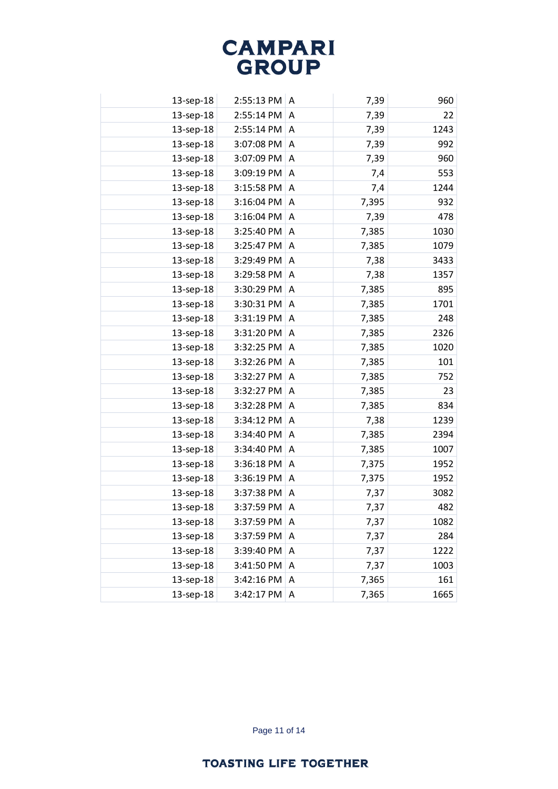| 7,39<br>13-sep-18<br>2:55:13 PM<br>A<br>13-sep-18<br>2:55:14 PM<br>7,39<br>A<br>2:55:14 PM<br>13-sep-18<br>7,39<br>A<br>13-sep-18<br>3:07:08 PM<br>7,39<br>A<br>3:07:09 PM<br>13-sep-18<br>7,39<br>A<br>13-sep-18<br>3:09:19 PM<br>7,4<br>A<br>13-sep-18<br>3:15:58 PM<br>7,4<br>A<br>13-sep-18<br>3:16:04 PM<br>7,395<br>A<br>3:16:04 PM<br>13-sep-18<br>7,39<br>A<br>3:25:40 PM<br>13-sep-18<br>7,385<br>A<br>13-sep-18<br>3:25:47 PM<br>7,385<br>A<br>13-sep-18<br>3:29:49 PM<br>7,38<br>A<br>13-sep-18<br>3:29:58 PM<br>7,38<br>A<br>3:30:29 PM<br>7,385<br>13-sep-18<br>A<br>13-sep-18<br>3:30:31 PM<br>A<br>7,385<br>3:31:19 PM<br>13-sep-18<br>A<br>7,385<br>3:31:20 PM<br>7,385<br>13-sep-18<br>A<br>13-sep-18<br>3:32:25 PM<br>7,385<br>A<br>3:32:26 PM<br>13-sep-18<br>7,385<br>A<br>13-sep-18<br>3:32:27 PM<br>7,385<br>A<br>3:32:27 PM<br>13-sep-18<br>7,385<br>A<br>13-sep-18<br>3:32:28 PM<br>A<br>7,385<br>3:34:12 PM<br>13-sep-18<br>7,38<br>A<br>13-sep-18<br>3:34:40 PM<br>7,385<br>A<br>13-sep-18<br>3:34:40 PM<br>7,385<br>A<br>3:36:18 PM<br>13-sep-18<br>7,375<br>A<br>3:36:19 PM<br>7,375<br>13-sep-18<br>A<br>13-sep-18<br>3:37:38 PM<br>7,37<br>A<br>3:37:59 PM<br>13-sep-18<br>7,37<br>A<br>7,37<br>13-sep-18<br>3:37:59 PM<br>A<br>13-sep-18<br>3:37:59 PM<br>7,37<br>A<br>13-sep-18<br>3:39:40 PM<br>7,37<br>Α<br>13-sep-18<br>3:41:50 PM<br>7,37<br>Α<br>13-sep-18<br>7,365<br>3:42:16 PM<br>A |           |            |   |       |      |
|-----------------------------------------------------------------------------------------------------------------------------------------------------------------------------------------------------------------------------------------------------------------------------------------------------------------------------------------------------------------------------------------------------------------------------------------------------------------------------------------------------------------------------------------------------------------------------------------------------------------------------------------------------------------------------------------------------------------------------------------------------------------------------------------------------------------------------------------------------------------------------------------------------------------------------------------------------------------------------------------------------------------------------------------------------------------------------------------------------------------------------------------------------------------------------------------------------------------------------------------------------------------------------------------------------------------------------------------------------------------------------------------------------------------------------|-----------|------------|---|-------|------|
|                                                                                                                                                                                                                                                                                                                                                                                                                                                                                                                                                                                                                                                                                                                                                                                                                                                                                                                                                                                                                                                                                                                                                                                                                                                                                                                                                                                                                             |           |            |   |       | 960  |
|                                                                                                                                                                                                                                                                                                                                                                                                                                                                                                                                                                                                                                                                                                                                                                                                                                                                                                                                                                                                                                                                                                                                                                                                                                                                                                                                                                                                                             |           |            |   |       | 22   |
|                                                                                                                                                                                                                                                                                                                                                                                                                                                                                                                                                                                                                                                                                                                                                                                                                                                                                                                                                                                                                                                                                                                                                                                                                                                                                                                                                                                                                             |           |            |   |       | 1243 |
|                                                                                                                                                                                                                                                                                                                                                                                                                                                                                                                                                                                                                                                                                                                                                                                                                                                                                                                                                                                                                                                                                                                                                                                                                                                                                                                                                                                                                             |           |            |   |       | 992  |
|                                                                                                                                                                                                                                                                                                                                                                                                                                                                                                                                                                                                                                                                                                                                                                                                                                                                                                                                                                                                                                                                                                                                                                                                                                                                                                                                                                                                                             |           |            |   |       | 960  |
|                                                                                                                                                                                                                                                                                                                                                                                                                                                                                                                                                                                                                                                                                                                                                                                                                                                                                                                                                                                                                                                                                                                                                                                                                                                                                                                                                                                                                             |           |            |   |       | 553  |
|                                                                                                                                                                                                                                                                                                                                                                                                                                                                                                                                                                                                                                                                                                                                                                                                                                                                                                                                                                                                                                                                                                                                                                                                                                                                                                                                                                                                                             |           |            |   |       | 1244 |
|                                                                                                                                                                                                                                                                                                                                                                                                                                                                                                                                                                                                                                                                                                                                                                                                                                                                                                                                                                                                                                                                                                                                                                                                                                                                                                                                                                                                                             |           |            |   |       | 932  |
|                                                                                                                                                                                                                                                                                                                                                                                                                                                                                                                                                                                                                                                                                                                                                                                                                                                                                                                                                                                                                                                                                                                                                                                                                                                                                                                                                                                                                             |           |            |   |       | 478  |
|                                                                                                                                                                                                                                                                                                                                                                                                                                                                                                                                                                                                                                                                                                                                                                                                                                                                                                                                                                                                                                                                                                                                                                                                                                                                                                                                                                                                                             |           |            |   |       | 1030 |
|                                                                                                                                                                                                                                                                                                                                                                                                                                                                                                                                                                                                                                                                                                                                                                                                                                                                                                                                                                                                                                                                                                                                                                                                                                                                                                                                                                                                                             |           |            |   |       | 1079 |
|                                                                                                                                                                                                                                                                                                                                                                                                                                                                                                                                                                                                                                                                                                                                                                                                                                                                                                                                                                                                                                                                                                                                                                                                                                                                                                                                                                                                                             |           |            |   |       | 3433 |
|                                                                                                                                                                                                                                                                                                                                                                                                                                                                                                                                                                                                                                                                                                                                                                                                                                                                                                                                                                                                                                                                                                                                                                                                                                                                                                                                                                                                                             |           |            |   |       | 1357 |
|                                                                                                                                                                                                                                                                                                                                                                                                                                                                                                                                                                                                                                                                                                                                                                                                                                                                                                                                                                                                                                                                                                                                                                                                                                                                                                                                                                                                                             |           |            |   |       | 895  |
|                                                                                                                                                                                                                                                                                                                                                                                                                                                                                                                                                                                                                                                                                                                                                                                                                                                                                                                                                                                                                                                                                                                                                                                                                                                                                                                                                                                                                             |           |            |   |       | 1701 |
|                                                                                                                                                                                                                                                                                                                                                                                                                                                                                                                                                                                                                                                                                                                                                                                                                                                                                                                                                                                                                                                                                                                                                                                                                                                                                                                                                                                                                             |           |            |   |       | 248  |
|                                                                                                                                                                                                                                                                                                                                                                                                                                                                                                                                                                                                                                                                                                                                                                                                                                                                                                                                                                                                                                                                                                                                                                                                                                                                                                                                                                                                                             |           |            |   |       | 2326 |
|                                                                                                                                                                                                                                                                                                                                                                                                                                                                                                                                                                                                                                                                                                                                                                                                                                                                                                                                                                                                                                                                                                                                                                                                                                                                                                                                                                                                                             |           |            |   |       | 1020 |
|                                                                                                                                                                                                                                                                                                                                                                                                                                                                                                                                                                                                                                                                                                                                                                                                                                                                                                                                                                                                                                                                                                                                                                                                                                                                                                                                                                                                                             |           |            |   |       | 101  |
|                                                                                                                                                                                                                                                                                                                                                                                                                                                                                                                                                                                                                                                                                                                                                                                                                                                                                                                                                                                                                                                                                                                                                                                                                                                                                                                                                                                                                             |           |            |   |       | 752  |
|                                                                                                                                                                                                                                                                                                                                                                                                                                                                                                                                                                                                                                                                                                                                                                                                                                                                                                                                                                                                                                                                                                                                                                                                                                                                                                                                                                                                                             |           |            |   |       | 23   |
|                                                                                                                                                                                                                                                                                                                                                                                                                                                                                                                                                                                                                                                                                                                                                                                                                                                                                                                                                                                                                                                                                                                                                                                                                                                                                                                                                                                                                             |           |            |   |       | 834  |
|                                                                                                                                                                                                                                                                                                                                                                                                                                                                                                                                                                                                                                                                                                                                                                                                                                                                                                                                                                                                                                                                                                                                                                                                                                                                                                                                                                                                                             |           |            |   |       | 1239 |
|                                                                                                                                                                                                                                                                                                                                                                                                                                                                                                                                                                                                                                                                                                                                                                                                                                                                                                                                                                                                                                                                                                                                                                                                                                                                                                                                                                                                                             |           |            |   |       | 2394 |
|                                                                                                                                                                                                                                                                                                                                                                                                                                                                                                                                                                                                                                                                                                                                                                                                                                                                                                                                                                                                                                                                                                                                                                                                                                                                                                                                                                                                                             |           |            |   |       | 1007 |
|                                                                                                                                                                                                                                                                                                                                                                                                                                                                                                                                                                                                                                                                                                                                                                                                                                                                                                                                                                                                                                                                                                                                                                                                                                                                                                                                                                                                                             |           |            |   |       | 1952 |
|                                                                                                                                                                                                                                                                                                                                                                                                                                                                                                                                                                                                                                                                                                                                                                                                                                                                                                                                                                                                                                                                                                                                                                                                                                                                                                                                                                                                                             |           |            |   |       | 1952 |
|                                                                                                                                                                                                                                                                                                                                                                                                                                                                                                                                                                                                                                                                                                                                                                                                                                                                                                                                                                                                                                                                                                                                                                                                                                                                                                                                                                                                                             |           |            |   |       | 3082 |
|                                                                                                                                                                                                                                                                                                                                                                                                                                                                                                                                                                                                                                                                                                                                                                                                                                                                                                                                                                                                                                                                                                                                                                                                                                                                                                                                                                                                                             |           |            |   |       | 482  |
|                                                                                                                                                                                                                                                                                                                                                                                                                                                                                                                                                                                                                                                                                                                                                                                                                                                                                                                                                                                                                                                                                                                                                                                                                                                                                                                                                                                                                             |           |            |   |       | 1082 |
|                                                                                                                                                                                                                                                                                                                                                                                                                                                                                                                                                                                                                                                                                                                                                                                                                                                                                                                                                                                                                                                                                                                                                                                                                                                                                                                                                                                                                             |           |            |   |       | 284  |
|                                                                                                                                                                                                                                                                                                                                                                                                                                                                                                                                                                                                                                                                                                                                                                                                                                                                                                                                                                                                                                                                                                                                                                                                                                                                                                                                                                                                                             |           |            |   |       | 1222 |
|                                                                                                                                                                                                                                                                                                                                                                                                                                                                                                                                                                                                                                                                                                                                                                                                                                                                                                                                                                                                                                                                                                                                                                                                                                                                                                                                                                                                                             |           |            |   |       | 1003 |
|                                                                                                                                                                                                                                                                                                                                                                                                                                                                                                                                                                                                                                                                                                                                                                                                                                                                                                                                                                                                                                                                                                                                                                                                                                                                                                                                                                                                                             |           |            |   |       | 161  |
|                                                                                                                                                                                                                                                                                                                                                                                                                                                                                                                                                                                                                                                                                                                                                                                                                                                                                                                                                                                                                                                                                                                                                                                                                                                                                                                                                                                                                             | 13-sep-18 | 3:42:17 PM | Α | 7,365 | 1665 |

Page 11 of 14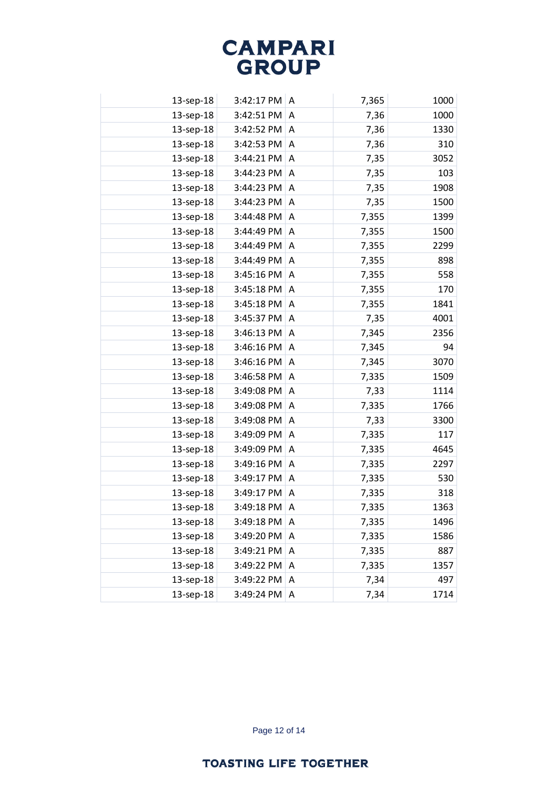| 13-sep-18 | 3:42:17 PM | A | 7,365 | 1000 |
|-----------|------------|---|-------|------|
| 13-sep-18 | 3:42:51 PM | A | 7,36  | 1000 |
| 13-sep-18 | 3:42:52 PM | A | 7,36  | 1330 |
| 13-sep-18 | 3:42:53 PM | Α | 7,36  | 310  |
| 13-sep-18 | 3:44:21 PM | A | 7,35  | 3052 |
| 13-sep-18 | 3:44:23 PM | A | 7,35  | 103  |
| 13-sep-18 | 3:44:23 PM | A | 7,35  | 1908 |
| 13-sep-18 | 3:44:23 PM | A | 7,35  | 1500 |
| 13-sep-18 | 3:44:48 PM | A | 7,355 | 1399 |
| 13-sep-18 | 3:44:49 PM | A | 7,355 | 1500 |
| 13-sep-18 | 3:44:49 PM | A | 7,355 | 2299 |
| 13-sep-18 | 3:44:49 PM | A | 7,355 | 898  |
| 13-sep-18 | 3:45:16 PM | A | 7,355 | 558  |
| 13-sep-18 | 3:45:18 PM | A | 7,355 | 170  |
| 13-sep-18 | 3:45:18 PM | A | 7,355 | 1841 |
| 13-sep-18 | 3:45:37 PM | Α | 7,35  | 4001 |
| 13-sep-18 | 3:46:13 PM | A | 7,345 | 2356 |
| 13-sep-18 | 3:46:16 PM | Α | 7,345 | 94   |
| 13-sep-18 | 3:46:16 PM | A | 7,345 | 3070 |
| 13-sep-18 | 3:46:58 PM | A | 7,335 | 1509 |
| 13-sep-18 | 3:49:08 PM | Α | 7,33  | 1114 |
| 13-sep-18 | 3:49:08 PM | A | 7,335 | 1766 |
| 13-sep-18 | 3:49:08 PM | Α | 7,33  | 3300 |
| 13-sep-18 | 3:49:09 PM | A | 7,335 | 117  |
| 13-sep-18 | 3:49:09 PM | Α | 7,335 | 4645 |
| 13-sep-18 | 3:49:16 PM | A | 7,335 | 2297 |
| 13-sep-18 | 3:49:17 PM | A | 7,335 | 530  |
| 13-sep-18 | 3:49:17 PM | A | 7,335 | 318  |
| 13-sep-18 | 3:49:18 PM | A | 7,335 | 1363 |
| 13-sep-18 | 3:49:18 PM | Α | 7,335 | 1496 |
| 13-sep-18 | 3:49:20 PM | A | 7,335 | 1586 |
| 13-sep-18 | 3:49:21 PM | A | 7,335 | 887  |
| 13-sep-18 | 3:49:22 PM | Α | 7,335 | 1357 |
| 13-sep-18 | 3:49:22 PM | Α | 7,34  | 497  |
| 13-sep-18 | 3:49:24 PM | Α | 7,34  | 1714 |

Page 12 of 14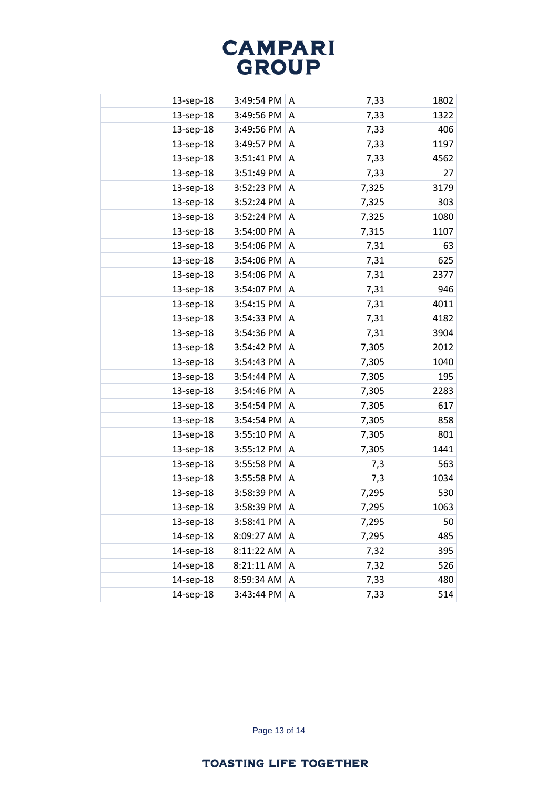| 13-sep-18 | 3:49:54 PM | A | 7,33  | 1802 |
|-----------|------------|---|-------|------|
| 13-sep-18 | 3:49:56 PM | A | 7,33  | 1322 |
| 13-sep-18 | 3:49:56 PM | A | 7,33  | 406  |
| 13-sep-18 | 3:49:57 PM | A | 7,33  | 1197 |
| 13-sep-18 | 3:51:41 PM | A | 7,33  | 4562 |
| 13-sep-18 | 3:51:49 PM | A | 7,33  | 27   |
| 13-sep-18 | 3:52:23 PM | A | 7,325 | 3179 |
| 13-sep-18 | 3:52:24 PM | A | 7,325 | 303  |
| 13-sep-18 | 3:52:24 PM | A | 7,325 | 1080 |
| 13-sep-18 | 3:54:00 PM | A | 7,315 | 1107 |
| 13-sep-18 | 3:54:06 PM | A | 7,31  | 63   |
| 13-sep-18 | 3:54:06 PM | A | 7,31  | 625  |
| 13-sep-18 | 3:54:06 PM | A | 7,31  | 2377 |
| 13-sep-18 | 3:54:07 PM | A | 7,31  | 946  |
| 13-sep-18 | 3:54:15 PM | A | 7,31  | 4011 |
| 13-sep-18 | 3:54:33 PM | A | 7,31  | 4182 |
| 13-sep-18 | 3:54:36 PM | A | 7,31  | 3904 |
| 13-sep-18 | 3:54:42 PM | A | 7,305 | 2012 |
| 13-sep-18 | 3:54:43 PM | A | 7,305 | 1040 |
| 13-sep-18 | 3:54:44 PM | A | 7,305 | 195  |
| 13-sep-18 | 3:54:46 PM | A | 7,305 | 2283 |
| 13-sep-18 | 3:54:54 PM | A | 7,305 | 617  |
| 13-sep-18 | 3:54:54 PM | A | 7,305 | 858  |
| 13-sep-18 | 3:55:10 PM | A | 7,305 | 801  |
| 13-sep-18 | 3:55:12 PM | A | 7,305 | 1441 |
| 13-sep-18 | 3:55:58 PM | A | 7,3   | 563  |
| 13-sep-18 | 3:55:58 PM | A | 7,3   | 1034 |
| 13-sep-18 | 3:58:39 PM | A | 7,295 | 530  |
| 13-sep-18 | 3:58:39 PM | A | 7,295 | 1063 |
| 13-sep-18 | 3:58:41 PM | Α | 7,295 | 50   |
| 14-sep-18 | 8:09:27 AM | Α | 7,295 | 485  |
| 14-sep-18 | 8:11:22 AM | Α | 7,32  | 395  |
| 14-sep-18 | 8:21:11 AM | Α | 7,32  | 526  |
| 14-sep-18 | 8:59:34 AM | A | 7,33  | 480  |
| 14-sep-18 | 3:43:44 PM | Α | 7,33  | 514  |
|           |            |   |       |      |

Page 13 of 14